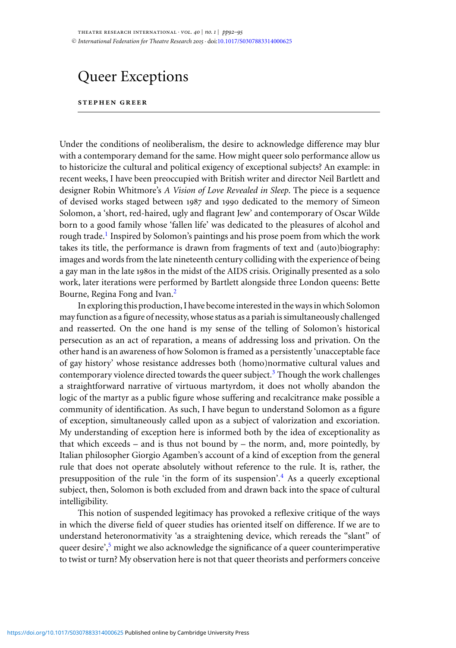## Queer Exceptions

## **stephen greer**

Under the conditions of neoliberalism, the desire to acknowledge difference may blur with a contemporary demand for the same. How might queer solo performance allow us to historicize the cultural and political exigency of exceptional subjects? An example: in recent weeks, I have been preoccupied with British writer and director Neil Bartlett and designer Robin Whitmore's *A Vision of Love Revealed in Sleep*. The piece is a sequence of devised works staged between 1987 and 1990 dedicated to the memory of Simeon Solomon, a 'short, red-haired, ugly and flagrant Jew' and contemporary of Oscar Wilde born to a good family whose 'fallen life' was dedicated to the pleasures of alcohol and rough trade[.](#page-2-0)<sup>1</sup> Inspired by Solomon's paintings and his prose poem from which the work takes its title, the performance is drawn from fragments of text and (auto)biography: images and words from the late nineteenth century colliding with the experience of being a gay man in the late 1980s in the midst of the AIDS crisis. Originally presented as a solo work, later iterations were performed by Bartlett alongside three London queens: Bette Bourne, Regina Fong and Ivan[.](#page-2-0)2

In exploring this production, I have become interested in the ways in which Solomon may function as a figure of necessity, whose status as a pariah is simultaneously challenged and reasserted. On the one hand is my sense of the telling of Solomon's historical persecution as an act of reparation, a means of addressing loss and privation. On the other hand is an awareness of how Solomon is framed as a persistently 'unacceptable face of gay history' whose resistance addresses both (homo)normative cultural values and contemporary violence directed towards the queer subject[.](#page-2-0) $3$  Though the work challenges a straightforward narrative of virtuous martyrdom, it does not wholly abandon the logic of the martyr as a public figure whose suffering and recalcitrance make possible a community of identification. As such, I have begun to understand Solomon as a figure of exception, simultaneously called upon as a subject of valorization and excoriation. My understanding of exception here is informed both by the idea of exceptionality as that which exceeds – and is thus not bound by – the norm, and, more pointedly, by Italian philosopher Giorgio Agamben's account of a kind of exception from the general rule that does not operate absolutely without reference to the rule. It is, rather, the presupposition of the rule 'in the form of its suspension'[.](#page-2-0)<sup>4</sup> As a queerly exceptional subject, then, Solomon is both excluded from and drawn back into the space of cultural intelligibility.

This notion of suspended legitimacy has provoked a reflexive critique of the ways in which the diverse field of queer studies has oriented itself on difference. If we are to understand heteronormativity 'as a straightening device, which rereads the "slant" of queer desire'[,](#page-2-0)<sup>5</sup> might we also acknowledge the significance of a queer counterimperative to twist or turn? My observation here is not that queer theorists and performers conceive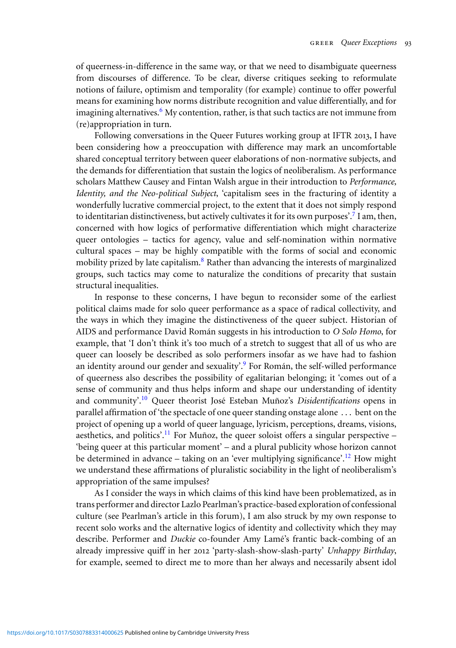of queerness-in-difference in the same way, or that we need to disambiguate queerness from discourses of difference. To be clear, diverse critiques seeking to reformulate notions of failure, optimism and temporality (for example) continue to offer powerful means for examining how norms distribute recognition and value differentially, and for imagining alternatives[.](#page-2-0)<sup>6</sup> My contention, rather, is that such tactics are not immune from (re)appropriation in turn.

Following conversations in the Queer Futures working group at IFTR 2013, I have been considering how a preoccupation with difference may mark an uncomfortable shared conceptual territory between queer elaborations of non-normative subjects, and the demands for differentiation that sustain the logics of neoliberalism. As performance scholars Matthew Causey and Fintan Walsh argue in their introduction to *Performance, Identity, and the Neo-political Subject*, 'capitalism sees in the fracturing of identity a wonderfully lucrative commercial project, to the extent that it does not simply respond to identitarian distinctiveness, but actively cultivates it for its own purposes'[.](#page-2-0)<sup>7</sup> I am, then, concerned with how logics of performative differentiation which might characterize queer ontologies – tactics for agency, value and self-nomination within normative cultural spaces – may be highly compatible with the forms of social and economic mobility prized by late capitalism[.](#page-2-0)<sup>8</sup> Rather than advancing the interests of marginalized groups, such tactics may come to naturalize the conditions of precarity that sustain structural inequalities.

In response to these concerns, I have begun to reconsider some of the earliest political claims made for solo queer performance as a space of radical collectivity, and the ways in which they imagine the distinctiveness of the queer subject. Historian of AIDS and performance David Román suggests in his introduction to O Solo Homo, for example, that 'I don't think it's too much of a stretch to suggest that all of us who are queer can loosely be described as solo performers insofar as we have had to fashion an identity around our gender and sexuality'[.](#page-3-0)<sup>9</sup> For Román, the self-willed performance of queerness also describes the possibility of egalitarian belonging; it 'comes out of a sense of community and thus helps inform and shape our understanding of identity and community<sup>'10</sup> Queer theorist José Esteban Muñoz's *Disidentifications* opens in parallel affirmation of 'the spectacle of one queer standing onstage alone . . . bent on the project of opening up a world of queer language, lyricism, perceptions, dreams, visions, aesthetics, and politics'[.](#page-3-0)<sup>11</sup> For Muñoz, the queer soloist offers a singular perspective – 'being queer at this particular moment' – and a plural publicity whose horizon cannot be determined in advance – taking on an 'ever multiplying significance'[.](#page-3-0)<sup>12</sup> How might we understand these affirmations of pluralistic sociability in the light of neoliberalism's appropriation of the same impulses?

As I consider the ways in which claims of this kind have been problematized, as in trans performer and director Lazlo Pearlman's practice-based exploration of confessional culture (see Pearlman's article in this forum), I am also struck by my own response to recent solo works and the alternative logics of identity and collectivity which they may describe. Performer and *Duckie* co-founder Amy Lamé's frantic back-combing of an already impressive quiff in her 2012 'party-slash-show-slash-party' *Unhappy Birthday*, for example, seemed to direct me to more than her always and necessarily absent idol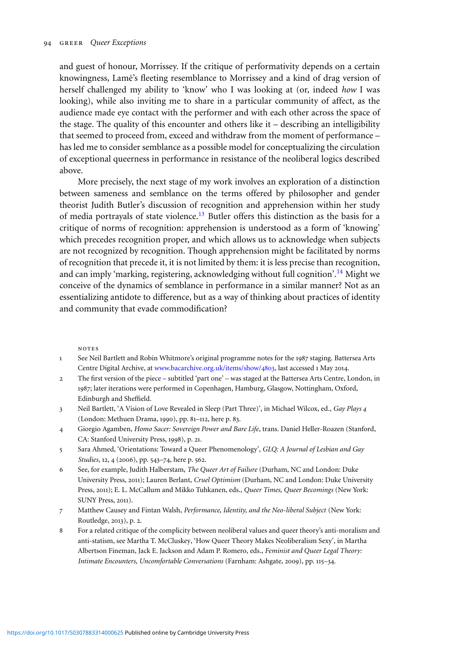<span id="page-2-0"></span>and guest of honour, Morrissey. If the critique of performativity depends on a certain knowingness, Lame's fleeting resemblance to Morrissey and a kind of drag version of ´ herself challenged my ability to 'know' who I was looking at (or, indeed *how* I was looking), while also inviting me to share in a particular community of affect, as the audience made eye contact with the performer and with each other across the space of the stage. The quality of this encounter and others like it – describing an intelligibility that seemed to proceed from, exceed and withdraw from the moment of performance – has led me to consider semblance as a possible model for conceptualizing the circulation of exceptional queerness in performance in resistance of the neoliberal logics described above.

More precisely, the next stage of my work involves an exploration of a distinction between sameness and semblance on the terms offered by philosopher and gender theorist Judith Butler's discussion of recognition and apprehension within her study of media portrayals of state violence[.](#page-3-0)<sup>13</sup> Butler offers this distinction as the basis for a critique of norms of recognition: apprehension is understood as a form of 'knowing' which precedes recognition proper, and which allows us to acknowledge when subjects are not recognized by recognition. Though apprehension might be facilitated by norms of recognition that precede it, it is not limited by them: it is less precise than recognition, and can imply 'marking, registering, acknowledging without full cognition'[.](#page-3-0)<sup>14</sup> Might we conceive of the dynamics of semblance in performance in a similar manner? Not as an essentializing antidote to difference, but as a way of thinking about practices of identity and community that evade commodification?

notes

- 1 See Neil Bartlett and Robin Whitmore's original programme notes for the 1987 staging. Battersea Arts Centre Digital Archive, at [www.bacarchive.org.uk/items/show/](http://www.bacarchive.org.uk/items/show/4803)4803, last accessed 1 May 2014.
- 2 The first version of the piece subtitled 'part one' was staged at the Battersea Arts Centre, London, in 1987; later iterations were performed in Copenhagen, Hamburg, Glasgow, Nottingham, Oxford, Edinburgh and Sheffield.
- 3 Neil Bartlett, 'A Vision of Love Revealed in Sleep (Part Three)', in Michael Wilcox, ed., *Gay Plays 4* (London: Methuen Drama, 1990), pp. 81–112, here p. 83.
- 4 Giorgio Agamben, *Homo Sacer: Sovereign Power and Bare Life*, trans. Daniel Heller-Roazen (Stanford, CA: Stanford University Press, 1998), p. 21.
- 5 Sara Ahmed, 'Orientations: Toward a Queer Phenomenology', *GLQ: A Journal of Lesbian and Gay Studies*, 12, 4 (2006), pp. 543–74, here p. 562.
- 6 See, for example, Judith Halberstam, *The Queer Art of Failure* (Durham, NC and London: Duke University Press, 2011); Lauren Berlant, *Cruel Optimism* (Durham, NC and London: Duke University Press, 2011); E. L. McCallum and Mikko Tuhkanen, eds., *Queer Times, Queer Becomings* (New York: SUNY Press, 2011).
- 7 Matthew Causey and Fintan Walsh, *Performance, Identity, and the Neo-liberal Subject* (New York: Routledge, 2013), p. 2.
- 8 For a related critique of the complicity between neoliberal values and queer theory's anti-moralism and anti-statism, see Martha T. McCluskey, 'How Queer Theory Makes Neoliberalism Sexy', in Martha Albertson Fineman, Jack E. Jackson and Adam P. Romero, eds., *Feminist and Queer Legal Theory: Intimate Encounters, Uncomfortable Conversations* (Farnham: Ashgate, 2009), pp. 115–34.